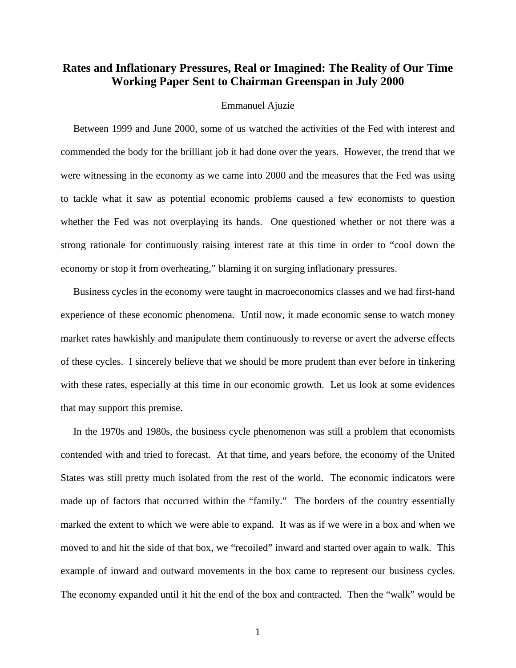## **Rates and Inflationary Pressures, Real or Imagined: The Reality of Our Time Working Paper Sent to Chairman Greenspan in July 2000**

## Emmanuel Ajuzie

 Between 1999 and June 2000, some of us watched the activities of the Fed with interest and commended the body for the brilliant job it had done over the years. However, the trend that we were witnessing in the economy as we came into 2000 and the measures that the Fed was using to tackle what it saw as potential economic problems caused a few economists to question whether the Fed was not overplaying its hands. One questioned whether or not there was a strong rationale for continuously raising interest rate at this time in order to "cool down the economy or stop it from overheating," blaming it on surging inflationary pressures.

 Business cycles in the economy were taught in macroeconomics classes and we had first-hand experience of these economic phenomena. Until now, it made economic sense to watch money market rates hawkishly and manipulate them continuously to reverse or avert the adverse effects of these cycles. I sincerely believe that we should be more prudent than ever before in tinkering with these rates, especially at this time in our economic growth. Let us look at some evidences that may support this premise.

 In the 1970s and 1980s, the business cycle phenomenon was still a problem that economists contended with and tried to forecast. At that time, and years before, the economy of the United States was still pretty much isolated from the rest of the world. The economic indicators were made up of factors that occurred within the "family." The borders of the country essentially marked the extent to which we were able to expand. It was as if we were in a box and when we moved to and hit the side of that box, we "recoiled" inward and started over again to walk. This example of inward and outward movements in the box came to represent our business cycles. The economy expanded until it hit the end of the box and contracted. Then the "walk" would be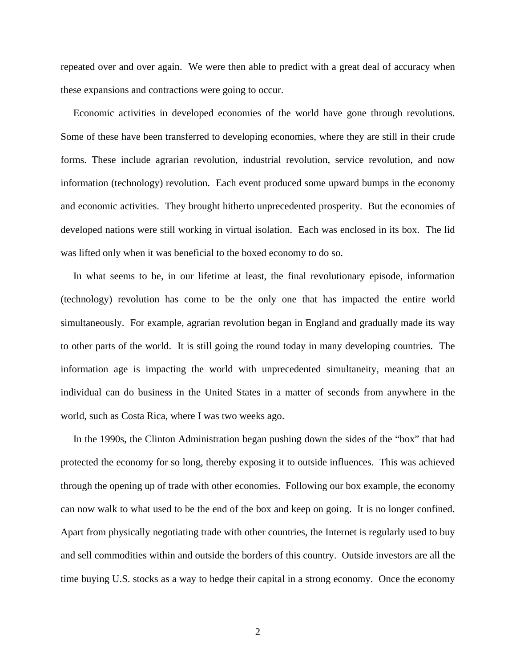repeated over and over again. We were then able to predict with a great deal of accuracy when these expansions and contractions were going to occur.

 Economic activities in developed economies of the world have gone through revolutions. Some of these have been transferred to developing economies, where they are still in their crude forms. These include agrarian revolution, industrial revolution, service revolution, and now information (technology) revolution. Each event produced some upward bumps in the economy and economic activities. They brought hitherto unprecedented prosperity. But the economies of developed nations were still working in virtual isolation. Each was enclosed in its box. The lid was lifted only when it was beneficial to the boxed economy to do so.

 In what seems to be, in our lifetime at least, the final revolutionary episode, information (technology) revolution has come to be the only one that has impacted the entire world simultaneously. For example, agrarian revolution began in England and gradually made its way to other parts of the world. It is still going the round today in many developing countries. The information age is impacting the world with unprecedented simultaneity, meaning that an individual can do business in the United States in a matter of seconds from anywhere in the world, such as Costa Rica, where I was two weeks ago.

 In the 1990s, the Clinton Administration began pushing down the sides of the "box" that had protected the economy for so long, thereby exposing it to outside influences. This was achieved through the opening up of trade with other economies. Following our box example, the economy can now walk to what used to be the end of the box and keep on going. It is no longer confined. Apart from physically negotiating trade with other countries, the Internet is regularly used to buy and sell commodities within and outside the borders of this country. Outside investors are all the time buying U.S. stocks as a way to hedge their capital in a strong economy. Once the economy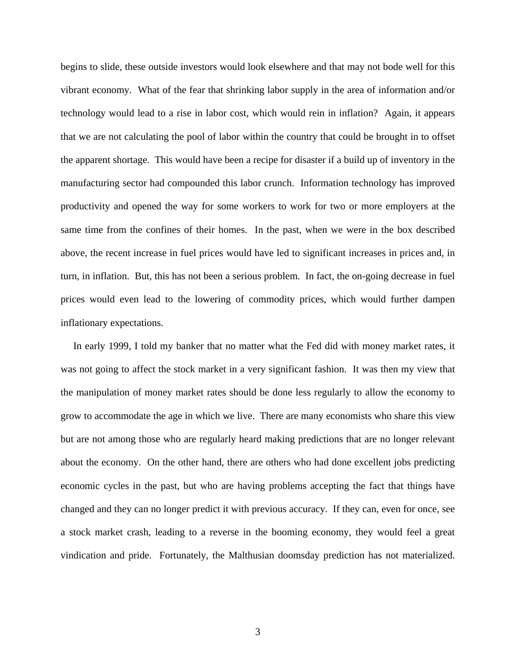begins to slide, these outside investors would look elsewhere and that may not bode well for this vibrant economy. What of the fear that shrinking labor supply in the area of information and/or technology would lead to a rise in labor cost, which would rein in inflation? Again, it appears that we are not calculating the pool of labor within the country that could be brought in to offset the apparent shortage. This would have been a recipe for disaster if a build up of inventory in the manufacturing sector had compounded this labor crunch. Information technology has improved productivity and opened the way for some workers to work for two or more employers at the same time from the confines of their homes. In the past, when we were in the box described above, the recent increase in fuel prices would have led to significant increases in prices and, in turn, in inflation. But, this has not been a serious problem. In fact, the on-going decrease in fuel prices would even lead to the lowering of commodity prices, which would further dampen inflationary expectations.

 In early 1999, I told my banker that no matter what the Fed did with money market rates, it was not going to affect the stock market in a very significant fashion. It was then my view that the manipulation of money market rates should be done less regularly to allow the economy to grow to accommodate the age in which we live. There are many economists who share this view but are not among those who are regularly heard making predictions that are no longer relevant about the economy. On the other hand, there are others who had done excellent jobs predicting economic cycles in the past, but who are having problems accepting the fact that things have changed and they can no longer predict it with previous accuracy. If they can, even for once, see a stock market crash, leading to a reverse in the booming economy, they would feel a great vindication and pride. Fortunately, the Malthusian doomsday prediction has not materialized.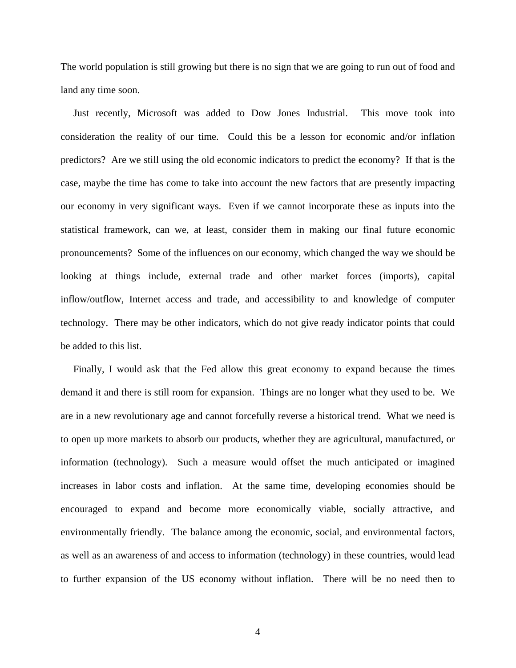The world population is still growing but there is no sign that we are going to run out of food and land any time soon.

 Just recently, Microsoft was added to Dow Jones Industrial. This move took into consideration the reality of our time. Could this be a lesson for economic and/or inflation predictors? Are we still using the old economic indicators to predict the economy? If that is the case, maybe the time has come to take into account the new factors that are presently impacting our economy in very significant ways. Even if we cannot incorporate these as inputs into the statistical framework, can we, at least, consider them in making our final future economic pronouncements? Some of the influences on our economy, which changed the way we should be looking at things include, external trade and other market forces (imports), capital inflow/outflow, Internet access and trade, and accessibility to and knowledge of computer technology. There may be other indicators, which do not give ready indicator points that could be added to this list.

 Finally, I would ask that the Fed allow this great economy to expand because the times demand it and there is still room for expansion. Things are no longer what they used to be. We are in a new revolutionary age and cannot forcefully reverse a historical trend. What we need is to open up more markets to absorb our products, whether they are agricultural, manufactured, or information (technology). Such a measure would offset the much anticipated or imagined increases in labor costs and inflation. At the same time, developing economies should be encouraged to expand and become more economically viable, socially attractive, and environmentally friendly. The balance among the economic, social, and environmental factors, as well as an awareness of and access to information (technology) in these countries, would lead to further expansion of the US economy without inflation. There will be no need then to